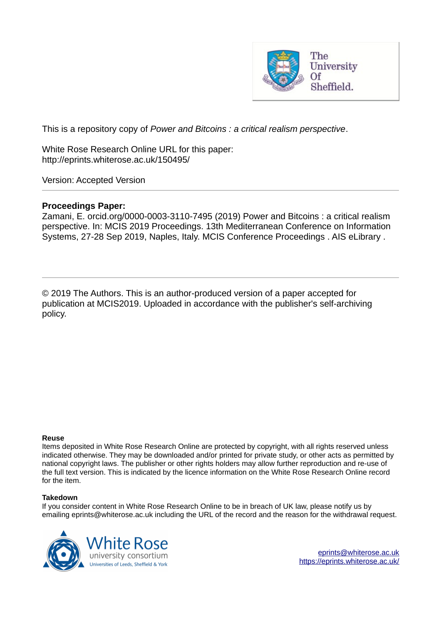

This is a repository copy of *Power and Bitcoins : a critical realism perspective*.

White Rose Research Online URL for this paper: http://eprints.whiterose.ac.uk/150495/

Version: Accepted Version

### **Proceedings Paper:**

Zamani, E. orcid.org/0000-0003-3110-7495 (2019) Power and Bitcoins : a critical realism perspective. In: MCIS 2019 Proceedings. 13th Mediterranean Conference on Information Systems, 27-28 Sep 2019, Naples, Italy. MCIS Conference Proceedings . AIS eLibrary .

© 2019 The Authors. This is an author-produced version of a paper accepted for publication at MCIS2019. Uploaded in accordance with the publisher's self-archiving policy.

#### **Reuse**

Items deposited in White Rose Research Online are protected by copyright, with all rights reserved unless indicated otherwise. They may be downloaded and/or printed for private study, or other acts as permitted by national copyright laws. The publisher or other rights holders may allow further reproduction and re-use of the full text version. This is indicated by the licence information on the White Rose Research Online record for the item.

#### **Takedown**

If you consider content in White Rose Research Online to be in breach of UK law, please notify us by emailing eprints@whiterose.ac.uk including the URL of the record and the reason for the withdrawal request.

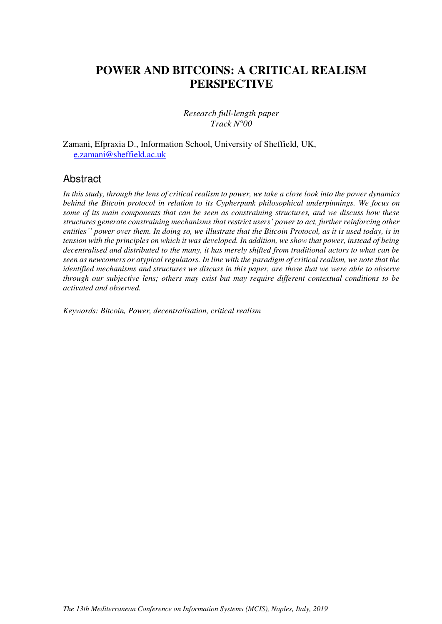# **POWER AND BITCOINS: A CRITICAL REALISM PERSPECTIVE**

#### *Research full-length paper Track N°00*

Zamani, Efpraxia D., Information School, University of Sheffield, UK, [e.zamani@sheffield.ac.uk](mailto:e.zamani@sheffield.ac.uk) 

### Abstract

*In this study, through the lens of critical realism to power, we take a close look into the power dynamics behind the Bitcoin protocol in relation to its Cypherpunk philosophical underpinnings. We focus on some of its main components that can be seen as constraining structures, and we discuss how these structures generate constraining mechanisms that restrict users' power to act, further reinforcing other entities'' power over them. In doing so, we illustrate that the Bitcoin Protocol, as it is used today, is in tension with the principles on which it was developed. In addition, we show that power, instead of being decentralised and distributed to the many, it has merely shifted from traditional actors to what can be seen as newcomers or atypical regulators. In line with the paradigm of critical realism, we note that the identified mechanisms and structures we discuss in this paper, are those that we were able to observe through our subjective lens; others may exist but may require different contextual conditions to be activated and observed.* 

*Keywords: Bitcoin, Power, decentralisation, critical realism*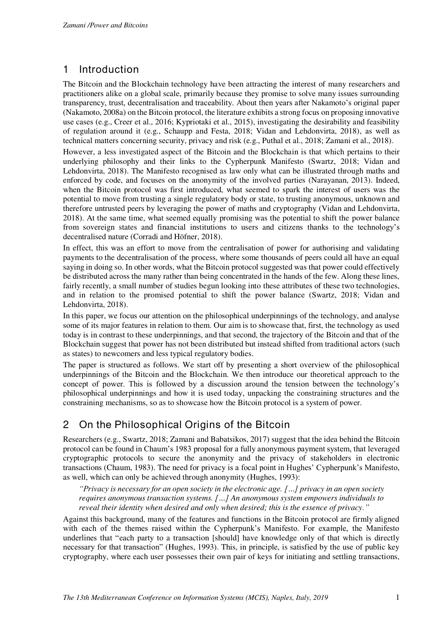# 1 Introduction

The Bitcoin and the Blockchain technology have been attracting the interest of many researchers and practitioners alike on a global scale, primarily because they promise to solve many issues surrounding transparency, trust, decentralisation and traceability. About then years after Nakamoto's original paper (Nakamoto, 2008a) on the Bitcoin protocol, the literature exhibits a strong focus on proposing innovative use cases (e.g., Creer et al., 2016; Kypriotaki et al., 2015), investigating the desirability and feasibility of regulation around it (e.g., Schaupp and Festa, 2018; Vidan and Lehdonvirta, 2018), as well as technical matters concerning security, privacy and risk (e.g., Puthal et al., 2018; Zamani et al., 2018).

However, a less investigated aspect of the Bitcoin and the Blockchain is that which pertains to their underlying philosophy and their links to the Cypherpunk Manifesto (Swartz, 2018; Vidan and Lehdonvirta, 2018). The Manifesto recognised as law only what can be illustrated through maths and enforced by code, and focuses on the anonymity of the involved parties (Narayanan, 2013). Indeed, when the Bitcoin protocol was first introduced, what seemed to spark the interest of users was the potential to move from trusting a single regulatory body or state, to trusting anonymous, unknown and therefore untrusted peers by leveraging the power of maths and cryptography (Vidan and Lehdonvirta, 2018). At the same time, what seemed equally promising was the potential to shift the power balance from sovereign states and financial institutions to users and citizens thanks to the technology's decentralised nature (Corradi and Höfner, 2018).

In effect, this was an effort to move from the centralisation of power for authorising and validating payments to the decentralisation of the process, where some thousands of peers could all have an equal saying in doing so. In other words, what the Bitcoin protocol suggested was that power could effectively be distributed across the many rather than being concentrated in the hands of the few. Along these lines, fairly recently, a small number of studies begun looking into these attributes of these two technologies, and in relation to the promised potential to shift the power balance (Swartz, 2018; Vidan and Lehdonvirta, 2018).

In this paper, we focus our attention on the philosophical underpinnings of the technology, and analyse some of its major features in relation to them. Our aim is to showcase that, first, the technology as used today is in contrast to these underpinnings, and that second, the trajectory of the Bitcoin and that of the Blockchain suggest that power has not been distributed but instead shifted from traditional actors (such as states) to newcomers and less typical regulatory bodies.

The paper is structured as follows. We start off by presenting a short overview of the philosophical underpinnings of the Bitcoin and the Blockchain. We then introduce our theoretical approach to the concept of power. This is followed by a discussion around the tension between the technology's philosophical underpinnings and how it is used today, unpacking the constraining structures and the constraining mechanisms, so as to showcase how the Bitcoin protocol is a system of power.

# 2 On the Philosophical Origins of the Bitcoin

Researchers (e.g., Swartz, 2018; Zamani and Babatsikos, 2017) suggest that the idea behind the Bitcoin protocol can be found in Chaum's 1983 proposal for a fully anonymous payment system, that leveraged cryptographic protocols to secure the anonymity and the privacy of stakeholders in electronic transactions (Chaum, 1983). The need for privacy is a focal point in Hughes' Cypherpunk's Manifesto, as well, which can only be achieved through anonymity (Hughes, 1993):

*"Privacy is necessary for an open society in the electronic age. […] privacy in an open society requires anonymous transaction systems. […] An anonymous system empowers individuals to reveal their identity when desired and only when desired; this is the essence of privacy."*

Against this background, many of the features and functions in the Bitcoin protocol are firmly aligned with each of the themes raised within the Cypherpunk's Manifesto. For example, the Manifesto underlines that "each party to a transaction [should] have knowledge only of that which is directly necessary for that transaction" (Hughes, 1993). This, in principle, is satisfied by the use of public key cryptography, where each user possesses their own pair of keys for initiating and settling transactions,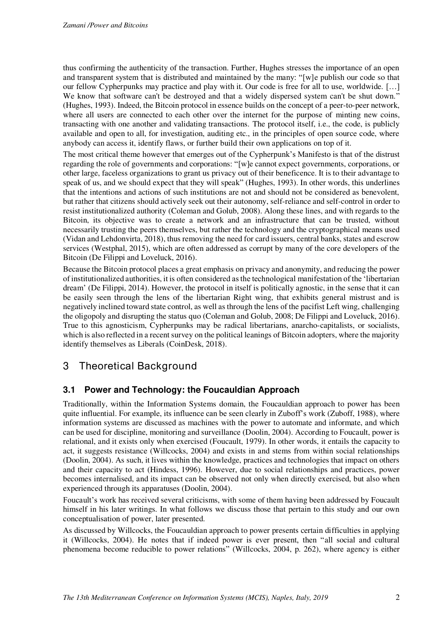thus confirming the authenticity of the transaction. Further, Hughes stresses the importance of an open and transparent system that is distributed and maintained by the many: "[w]e publish our code so that our fellow Cypherpunks may practice and play with it. Our code is free for all to use, worldwide. […] We know that software can't be destroyed and that a widely dispersed system can't be shut down." (Hughes, 1993). Indeed, the Bitcoin protocol in essence builds on the concept of a peer-to-peer network, where all users are connected to each other over the internet for the purpose of minting new coins, transacting with one another and validating transactions. The protocol itself, i.e., the code, is publicly available and open to all, for investigation, auditing etc., in the principles of open source code, where anybody can access it, identify flaws, or further build their own applications on top of it.

The most critical theme however that emerges out of the Cypherpunk's Manifesto is that of the distrust regarding the role of governments and corporations: "[w]e cannot expect governments, corporations, or other large, faceless organizations to grant us privacy out of their beneficence. It is to their advantage to speak of us, and we should expect that they will speak" (Hughes, 1993). In other words, this underlines that the intentions and actions of such institutions are not and should not be considered as benevolent, but rather that citizens should actively seek out their autonomy, self-reliance and self-control in order to resist institutionalized authority (Coleman and Golub, 2008). Along these lines, and with regards to the Bitcoin, its objective was to create a network and an infrastructure that can be trusted, without necessarily trusting the peers themselves, but rather the technology and the cryptographical means used (Vidan and Lehdonvirta, 2018), thus removing the need for card issuers, central banks, states and escrow services (Westphal, 2015), which are often addressed as corrupt by many of the core developers of the Bitcoin (De Filippi and Loveluck, 2016).

Because the Bitcoin protocol places a great emphasis on privacy and anonymity, and reducing the power of institutionalized authorities, it is often considered as the technological manifestation of the 'libertarian dream' (De Filippi, 2014). However, the protocol in itself is politically agnostic, in the sense that it can be easily seen through the lens of the libertarian Right wing, that exhibits general mistrust and is negatively inclined toward state control, as well as through the lens of the pacifist Left wing, challenging the oligopoly and disrupting the status quo (Coleman and Golub, 2008; De Filippi and Loveluck, 2016). True to this agnosticism, Cypherpunks may be radical libertarians, anarcho-capitalists, or socialists, which is also reflected in a recent survey on the political leanings of Bitcoin adopters, where the majority identify themselves as Liberals (CoinDesk, 2018).

# 3 Theoretical Background

### **3.1 Power and Technology: the Foucauldian Approach**

Traditionally, within the Information Systems domain, the Foucauldian approach to power has been quite influential. For example, its influence can be seen clearly in Zuboff's work (Zuboff, 1988), where information systems are discussed as machines with the power to automate and informate, and which can be used for discipline, monitoring and surveillance (Doolin, 2004). According to Foucault, power is relational, and it exists only when exercised (Foucault, 1979). In other words, it entails the capacity to act, it suggests resistance (Willcocks, 2004) and exists in and stems from within social relationships (Doolin, 2004). As such, it lives within the knowledge, practices and technologies that impact on others and their capacity to act (Hindess, 1996). However, due to social relationships and practices, power becomes internalised, and its impact can be observed not only when directly exercised, but also when experienced through its apparatuses (Doolin, 2004).

Foucault's work has received several criticisms, with some of them having been addressed by Foucault himself in his later writings. In what follows we discuss those that pertain to this study and our own conceptualisation of power, later presented.

As discussed by Willcocks, the Foucauldian approach to power presents certain difficulties in applying it (Willcocks, 2004). He notes that if indeed power is ever present, then "all social and cultural phenomena become reducible to power relations" (Willcocks, 2004, p. 262), where agency is either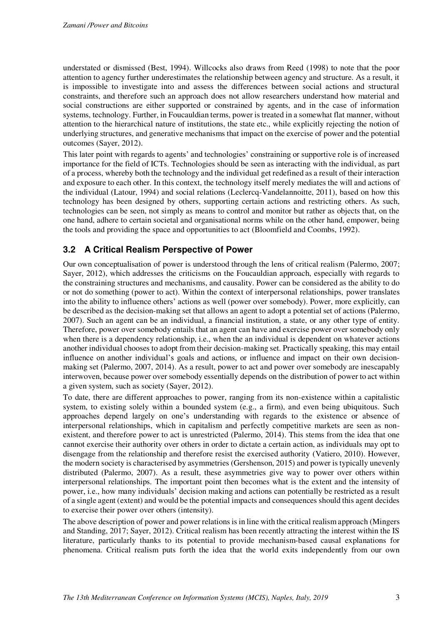understated or dismissed (Best, 1994). Willcocks also draws from Reed (1998) to note that the poor attention to agency further underestimates the relationship between agency and structure. As a result, it is impossible to investigate into and assess the differences between social actions and structural constraints, and therefore such an approach does not allow researchers understand how material and social constructions are either supported or constrained by agents, and in the case of information systems, technology. Further, in Foucauldian terms, power is treated in a somewhat flat manner, without attention to the hierarchical nature of institutions, the state etc., while explicitly rejecting the notion of underlying structures, and generative mechanisms that impact on the exercise of power and the potential outcomes (Sayer, 2012).

This later point with regards to agents' and technologies' constraining or supportive role is of increased importance for the field of ICTs. Technologies should be seen as interacting with the individual, as part of a process, whereby both the technology and the individual get redefined as a result of their interaction and exposure to each other. In this context, the technology itself merely mediates the will and actions of the individual (Latour, 1994) and social relations (Leclercq-Vandelannoitte, 2011), based on how this technology has been designed by others, supporting certain actions and restricting others. As such, technologies can be seen, not simply as means to control and monitor but rather as objects that, on the one hand, adhere to certain societal and organisational norms while on the other hand, empower, being the tools and providing the space and opportunities to act (Bloomfield and Coombs, 1992).

### **3.2 A Critical Realism Perspective of Power**

Our own conceptualisation of power is understood through the lens of critical realism (Palermo, 2007; Sayer, 2012), which addresses the criticisms on the Foucauldian approach, especially with regards to the constraining structures and mechanisms, and causality. Power can be considered as the ability to do or not do something (power to act). Within the context of interpersonal relationships, power translates into the ability to influence others' actions as well (power over somebody). Power, more explicitly, can be described as the decision-making set that allows an agent to adopt a potential set of actions (Palermo, 2007). Such an agent can be an individual, a financial institution, a state, or any other type of entity. Therefore, power over somebody entails that an agent can have and exercise power over somebody only when there is a dependency relationship, i.e., when the an individual is dependent on whatever actions another individual chooses to adopt from their decision-making set. Practically speaking, this may entail influence on another individual's goals and actions, or influence and impact on their own decisionmaking set (Palermo, 2007, 2014). As a result, power to act and power over somebody are inescapably interwoven, because power over somebody essentially depends on the distribution of power to act within a given system, such as society (Sayer, 2012).

To date, there are different approaches to power, ranging from its non-existence within a capitalistic system, to existing solely within a bounded system (e.g., a firm), and even being ubiquitous. Such approaches depend largely on one's understanding with regards to the existence or absence of interpersonal relationships, which in capitalism and perfectly competitive markets are seen as nonexistent, and therefore power to act is unrestricted (Palermo, 2014). This stems from the idea that one cannot exercise their authority over others in order to dictate a certain action, as individuals may opt to disengage from the relationship and therefore resist the exercised authority (Vatiero, 2010). However, the modern society is characterised by asymmetries (Gershenson, 2015) and power is typically unevenly distributed (Palermo, 2007). As a result, these asymmetries give way to power over others within interpersonal relationships. The important point then becomes what is the extent and the intensity of power, i.e., how many individuals' decision making and actions can potentially be restricted as a result of a single agent (extent) and would be the potential impacts and consequences should this agent decides to exercise their power over others (intensity).

The above description of power and power relations is in line with the critical realism approach (Mingers and Standing, 2017; Sayer, 2012). Critical realism has been recently attracting the interest within the IS literature, particularly thanks to its potential to provide mechanism-based causal explanations for phenomena. Critical realism puts forth the idea that the world exits independently from our own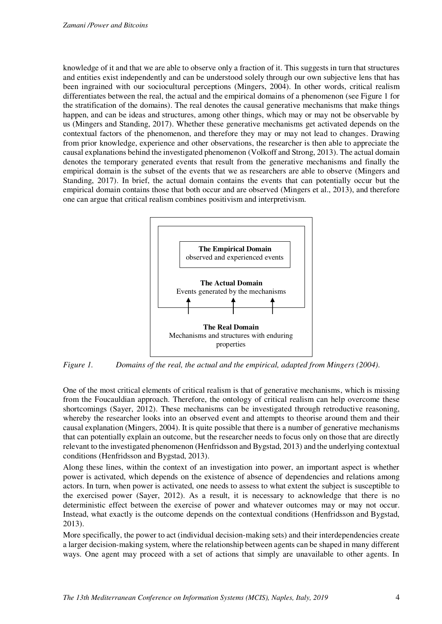knowledge of it and that we are able to observe only a fraction of it. This suggests in turn that structures and entities exist independently and can be understood solely through our own subjective lens that has been ingrained with our sociocultural perceptions (Mingers, 2004). In other words, critical realism differentiates between the real, the actual and the empirical domains of a phenomenon (see [Figure 1](#page-5-0) for the stratification of the domains). The real denotes the causal generative mechanisms that make things happen, and can be ideas and structures, among other things, which may or may not be observable by us (Mingers and Standing, 2017). Whether these generative mechanisms get activated depends on the contextual factors of the phenomenon, and therefore they may or may not lead to changes. Drawing from prior knowledge, experience and other observations, the researcher is then able to appreciate the causal explanations behind the investigated phenomenon (Volkoff and Strong, 2013). The actual domain denotes the temporary generated events that result from the generative mechanisms and finally the empirical domain is the subset of the events that we as researchers are able to observe (Mingers and Standing, 2017). In brief, the actual domain contains the events that can potentially occur but the empirical domain contains those that both occur and are observed (Mingers et al., 2013), and therefore one can argue that critical realism combines positivism and interpretivism.



<span id="page-5-0"></span>*Figure 1. Domains of the real, the actual and the empirical, adapted from Mingers (2004).* 

One of the most critical elements of critical realism is that of generative mechanisms, which is missing from the Foucauldian approach. Therefore, the ontology of critical realism can help overcome these shortcomings (Sayer, 2012). These mechanisms can be investigated through retroductive reasoning, whereby the researcher looks into an observed event and attempts to theorise around them and their causal explanation (Mingers, 2004). It is quite possible that there is a number of generative mechanisms that can potentially explain an outcome, but the researcher needs to focus only on those that are directly relevant to the investigated phenomenon (Henfridsson and Bygstad, 2013) and the underlying contextual conditions (Henfridsson and Bygstad, 2013).

Along these lines, within the context of an investigation into power, an important aspect is whether power is activated, which depends on the existence of absence of dependencies and relations among actors. In turn, when power is activated, one needs to assess to what extent the subject is susceptible to the exercised power (Sayer, 2012). As a result, it is necessary to acknowledge that there is no deterministic effect between the exercise of power and whatever outcomes may or may not occur. Instead, what exactly is the outcome depends on the contextual conditions (Henfridsson and Bygstad, 2013).

More specifically, the power to act (individual decision-making sets) and their interdependencies create a larger decision-making system, where the relationship between agents can be shaped in many different ways. One agent may proceed with a set of actions that simply are unavailable to other agents. In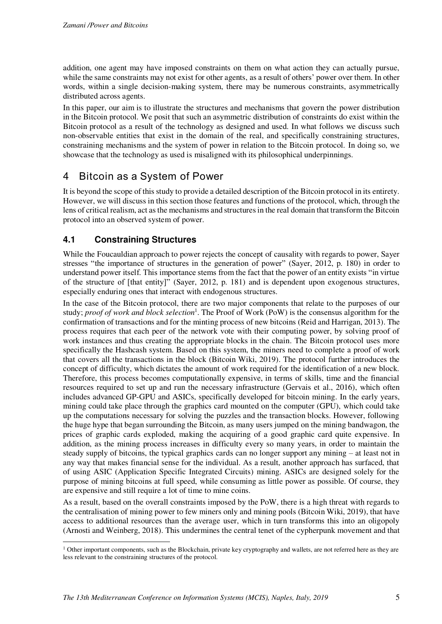addition, one agent may have imposed constraints on them on what action they can actually pursue, while the same constraints may not exist for other agents, as a result of others' power over them. In other words, within a single decision-making system, there may be numerous constraints, asymmetrically distributed across agents.

In this paper, our aim is to illustrate the structures and mechanisms that govern the power distribution in the Bitcoin protocol. We posit that such an asymmetric distribution of constraints do exist within the Bitcoin protocol as a result of the technology as designed and used. In what follows we discuss such non-observable entities that exist in the domain of the real, and specifically constraining structures, constraining mechanisms and the system of power in relation to the Bitcoin protocol. In doing so, we showcase that the technology as used is misaligned with its philosophical underpinnings.

# 4 Bitcoin as a System of Power

It is beyond the scope of this study to provide a detailed description of the Bitcoin protocol in its entirety. However, we will discuss in this section those features and functions of the protocol, which, through the lens of critical realism, act as the mechanisms and structures in the real domain that transform the Bitcoin protocol into an observed system of power.

### **4.1 Constraining Structures**

While the Foucauldian approach to power rejects the concept of causality with regards to power, Sayer stresses "the importance of structures in the generation of power" (Sayer, 2012, p. 180) in order to understand power itself. This importance stems from the fact that the power of an entity exists "in virtue of the structure of [that entity]" (Sayer, 2012, p. 181) and is dependent upon exogenous structures, especially enduring ones that interact with endogenous structures.

In the case of the Bitcoin protocol, there are two major components that relate to the purposes of our study; *proof of work and block selection*<sup>1</sup>. The Proof of Work (PoW) is the consensus algorithm for the confirmation of transactions and for the minting process of new bitcoins (Reid and Harrigan, 2013). The process requires that each peer of the network vote with their computing power, by solving proof of work instances and thus creating the appropriate blocks in the chain. The Bitcoin protocol uses more specifically the Hashcash system. Based on this system, the miners need to complete a proof of work that covers all the transactions in the block (Bitcoin Wiki, 2019). The protocol further introduces the concept of difficulty, which dictates the amount of work required for the identification of a new block. Therefore, this process becomes computationally expensive, in terms of skills, time and the financial resources required to set up and run the necessary infrastructure (Gervais et al., 2016), which often includes advanced GP-GPU and ASICs, specifically developed for bitcoin mining. In the early years, mining could take place through the graphics card mounted on the computer (GPU), which could take up the computations necessary for solving the puzzles and the transaction blocks. However, following the huge hype that began surrounding the Bitcoin, as many users jumped on the mining bandwagon, the prices of graphic cards exploded, making the acquiring of a good graphic card quite expensive. In addition, as the mining process increases in difficulty every so many years, in order to maintain the steady supply of bitcoins, the typical graphics cards can no longer support any mining – at least not in any way that makes financial sense for the individual. As a result, another approach has surfaced, that of using ASIC (Application Specific Integrated Circuits) mining. ASICs are designed solely for the purpose of mining bitcoins at full speed, while consuming as little power as possible. Of course, they are expensive and still require a lot of time to mine coins.

As a result, based on the overall constraints imposed by the PoW, there is a high threat with regards to the centralisation of mining power to few miners only and mining pools (Bitcoin Wiki, 2019), that have access to additional resources than the average user, which in turn transforms this into an oligopoly (Arnosti and Weinberg, 2018). This undermines the central tenet of the cypherpunk movement and that

<sup>&</sup>lt;sup>1</sup> Other important components, such as the Blockchain, private key cryptography and wallets, are not referred here as they are less relevant to the constraining structures of the protocol.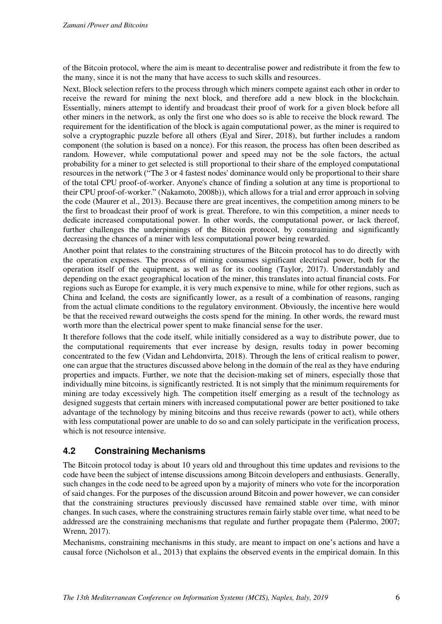of the Bitcoin protocol, where the aim is meant to decentralise power and redistribute it from the few to the many, since it is not the many that have access to such skills and resources.

Next, Block selection refers to the process through which miners compete against each other in order to receive the reward for mining the next block, and therefore add a new block in the blockchain. Essentially, miners attempt to identify and broadcast their proof of work for a given block before all other miners in the network, as only the first one who does so is able to receive the block reward. The requirement for the identification of the block is again computational power, as the miner is required to solve a cryptographic puzzle before all others (Eyal and Sirer, 2018), but further includes a random component (the solution is based on a nonce). For this reason, the process has often been described as random. However, while computational power and speed may not be the sole factors, the actual probability for a miner to get selected is still proportional to their share of the employed computational resources in the network ("The 3 or 4 fastest nodes' dominance would only be proportional to their share of the total CPU proof-of-worker. Anyone's chance of finding a solution at any time is proportional to their CPU proof-of-worker." (Nakamoto, 2008b)), which allows for a trial and error approach in solving the code (Maurer et al., 2013). Because there are great incentives, the competition among miners to be the first to broadcast their proof of work is great. Therefore, to win this competition, a miner needs to dedicate increased computational power. In other words, the computational power, or lack thereof, further challenges the underpinnings of the Bitcoin protocol, by constraining and significantly decreasing the chances of a miner with less computational power being rewarded.

Another point that relates to the constraining structures of the Bitcoin protocol has to do directly with the operation expenses. The process of mining consumes significant electrical power, both for the operation itself of the equipment, as well as for its cooling (Taylor, 2017). Understandably and depending on the exact geographical location of the miner, this translates into actual financial costs. For regions such as Europe for example, it is very much expensive to mine, while for other regions, such as China and Iceland, the costs are significantly lower, as a result of a combination of reasons, ranging from the actual climate conditions to the regulatory environment. Obviously, the incentive here would be that the received reward outweighs the costs spend for the mining. In other words, the reward must worth more than the electrical power spent to make financial sense for the user.

It therefore follows that the code itself, while initially considered as a way to distribute power, due to the computational requirements that ever increase by design, results today in power becoming concentrated to the few (Vidan and Lehdonvirta, 2018). Through the lens of critical realism to power, one can argue that the structures discussed above belong in the domain of the real as they have enduring properties and impacts. Further, we note that the decision-making set of miners, especially those that individually mine bitcoins, is significantly restricted. It is not simply that the minimum requirements for mining are today excessively high. The competition itself emerging as a result of the technology as designed suggests that certain miners with increased computational power are better positioned to take advantage of the technology by mining bitcoins and thus receive rewards (power to act), while others with less computational power are unable to do so and can solely participate in the verification process, which is not resource intensive.

### **4.2 Constraining Mechanisms**

The Bitcoin protocol today is about 10 years old and throughout this time updates and revisions to the code have been the subject of intense discussions among Bitcoin developers and enthusiasts. Generally, such changes in the code need to be agreed upon by a majority of miners who vote for the incorporation of said changes. For the purposes of the discussion around Bitcoin and power however, we can consider that the constraining structures previously discussed have remained stable over time, with minor changes. In such cases, where the constraining structures remain fairly stable over time, what need to be addressed are the constraining mechanisms that regulate and further propagate them (Palermo, 2007; Wrenn, 2017).

Mechanisms, constraining mechanisms in this study, are meant to impact on one's actions and have a causal force (Nicholson et al., 2013) that explains the observed events in the empirical domain. In this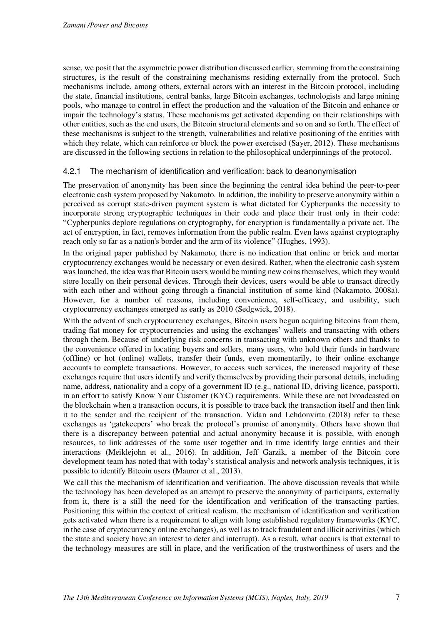sense, we posit that the asymmetric power distribution discussed earlier, stemming from the constraining structures, is the result of the constraining mechanisms residing externally from the protocol. Such mechanisms include, among others, external actors with an interest in the Bitcoin protocol, including the state, financial institutions, central banks, large Bitcoin exchanges, technologists and large mining pools, who manage to control in effect the production and the valuation of the Bitcoin and enhance or impair the technology's status. These mechanisms get activated depending on their relationships with other entities, such as the end users, the Bitcoin structural elements and so on and so forth. The effect of these mechanisms is subject to the strength, vulnerabilities and relative positioning of the entities with which they relate, which can reinforce or block the power exercised (Sayer, 2012). These mechanisms are discussed in the following sections in relation to the philosophical underpinnings of the protocol.

#### 4.2.1 The mechanism of identification and verification: back to deanonymisation

The preservation of anonymity has been since the beginning the central idea behind the peer-to-peer electronic cash system proposed by Nakamoto. In addition, the inability to preserve anonymity within a perceived as corrupt state-driven payment system is what dictated for Cypherpunks the necessity to incorporate strong cryptographic techniques in their code and place their trust only in their code: "Cypherpunks deplore regulations on cryptography, for encryption is fundamentally a private act. The act of encryption, in fact, removes information from the public realm. Even laws against cryptography reach only so far as a nation's border and the arm of its violence" (Hughes, 1993).

In the original paper published by Nakamoto, there is no indication that online or brick and mortar cryptocurrency exchanges would be necessary or even desired. Rather, when the electronic cash system was launched, the idea was that Bitcoin users would be minting new coins themselves, which they would store locally on their personal devices. Through their devices, users would be able to transact directly with each other and without going through a financial institution of some kind (Nakamoto, 2008a). However, for a number of reasons, including convenience, self-efficacy, and usability, such cryptocurrency exchanges emerged as early as 2010 (Sedgwick, 2018).

With the advent of such cryptocurrency exchanges. Bitcoin users begun acquiring bitcoins from them, trading fiat money for cryptocurrencies and using the exchanges' wallets and transacting with others through them. Because of underlying risk concerns in transacting with unknown others and thanks to the convenience offered in locating buyers and sellers, many users, who hold their funds in hardware (offline) or hot (online) wallets, transfer their funds, even momentarily, to their online exchange accounts to complete transactions. However, to access such services, the increased majority of these exchanges require that users identify and verify themselves by providing their personal details, including name, address, nationality and a copy of a government ID (e.g., national ID, driving licence, passport), in an effort to satisfy Know Your Customer (KYC) requirements. While these are not broadcasted on the blockchain when a transaction occurs, it is possible to trace back the transaction itself and then link it to the sender and the recipient of the transaction. Vidan and Lehdonvirta (2018) refer to these exchanges as 'gatekeepers' who break the protocol's promise of anonymity. Others have shown that there is a discrepancy between potential and actual anonymity because it is possible, with enough resources, to link addresses of the same user together and in time identify large entities and their interactions (Meiklejohn et al., 2016). In addition, Jeff Garzik, a member of the Bitcoin core development team has noted that with today's statistical analysis and network analysis techniques, it is possible to identify Bitcoin users (Maurer et al., 2013).

We call this the mechanism of identification and verification. The above discussion reveals that while the technology has been developed as an attempt to preserve the anonymity of participants, externally from it, there is a still the need for the identification and verification of the transacting parties. Positioning this within the context of critical realism, the mechanism of identification and verification gets activated when there is a requirement to align with long established regulatory frameworks (KYC, in the case of cryptocurrency online exchanges), as well as to track fraudulent and illicit activities (which the state and society have an interest to deter and interrupt). As a result, what occurs is that external to the technology measures are still in place, and the verification of the trustworthiness of users and the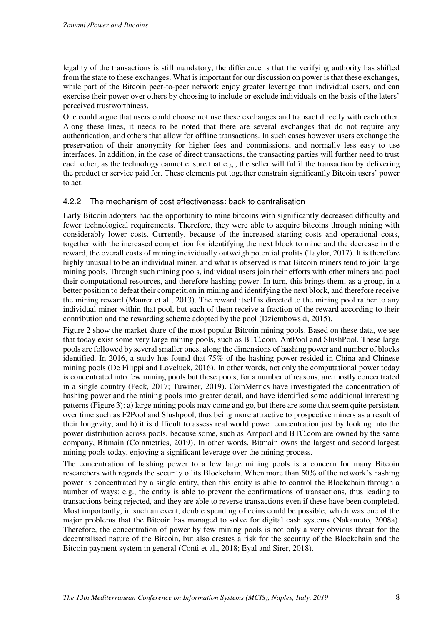legality of the transactions is still mandatory; the difference is that the verifying authority has shifted from the state to these exchanges. What is important for our discussion on power is that these exchanges, while part of the Bitcoin peer-to-peer network enjoy greater leverage than individual users, and can exercise their power over others by choosing to include or exclude individuals on the basis of the laters' perceived trustworthiness.

One could argue that users could choose not use these exchanges and transact directly with each other. Along these lines, it needs to be noted that there are several exchanges that do not require any authentication, and others that allow for offline transactions. In such cases however users exchange the preservation of their anonymity for higher fees and commissions, and normally less easy to use interfaces. In addition, in the case of direct transactions, the transacting parties will further need to trust each other, as the technology cannot ensure that e.g., the seller will fulfil the transaction by delivering the product or service paid for. These elements put together constrain significantly Bitcoin users' power to act.

#### 4.2.2 The mechanism of cost effectiveness: back to centralisation

Early Bitcoin adopters had the opportunity to mine bitcoins with significantly decreased difficulty and fewer technological requirements. Therefore, they were able to acquire bitcoins through mining with considerably lower costs. Currently, because of the increased starting costs and operational costs, together with the increased competition for identifying the next block to mine and the decrease in the reward, the overall costs of mining individually outweigh potential profits (Taylor, 2017). It is therefore highly unusual to be an individual miner, and what is observed is that Bitcoin miners tend to join large mining pools. Through such mining pools, individual users join their efforts with other miners and pool their computational resources, and therefore hashing power. In turn, this brings them, as a group, in a better position to defeat their competition in mining and identifying the next block, and therefore receive the mining reward (Maurer et al., 2013). The reward itself is directed to the mining pool rather to any individual miner within that pool, but each of them receive a fraction of the reward according to their contribution and the rewarding scheme adopted by the pool (Dziembowski, 2015).

[Figure 2](#page-10-0) show the market share of the most popular Bitcoin mining pools. Based on these data, we see that today exist some very large mining pools, such as BTC.com, AntPool and SlushPool. These large pools are followed by several smaller ones, along the dimensions of hashing power and number of blocks identified. In 2016, a study has found that 75% of the hashing power resided in China and Chinese mining pools (De Filippi and Loveluck, 2016). In other words, not only the computational power today is concentrated into few mining pools but these pools, for a number of reasons, are mostly concentrated in a single country (Peck, 2017; Tuwiner, 2019). CoinMetrics have investigated the concentration of hashing power and the mining pools into greater detail, and have identified some additional interesting patterns [\(Figure 3\)](#page-10-1): a) large mining pools may come and go, but there are some that seem quite persistent over time such as F2Pool and Slushpool, thus being more attractive to prospective miners as a result of their longevity, and b) it is difficult to assess real world power concentration just by looking into the power distribution across pools, because some, such as Antpool and BTC.com are owned by the same company, Bitmain (Coinmetrics, 2019). In other words, Bitmain owns the largest and second largest mining pools today, enjoying a significant leverage over the mining process.

The concentration of hashing power to a few large mining pools is a concern for many Bitcoin researchers with regards the security of its Blockchain. When more than 50% of the network's hashing power is concentrated by a single entity, then this entity is able to control the Blockchain through a number of ways: e.g., the entity is able to prevent the confirmations of transactions, thus leading to transactions being rejected, and they are able to reverse transactions even if these have been completed. Most importantly, in such an event, double spending of coins could be possible, which was one of the major problems that the Bitcoin has managed to solve for digital cash systems (Nakamoto, 2008a). Therefore, the concentration of power by few mining pools is not only a very obvious threat for the decentralised nature of the Bitcoin, but also creates a risk for the security of the Blockchain and the Bitcoin payment system in general (Conti et al., 2018; Eyal and Sirer, 2018).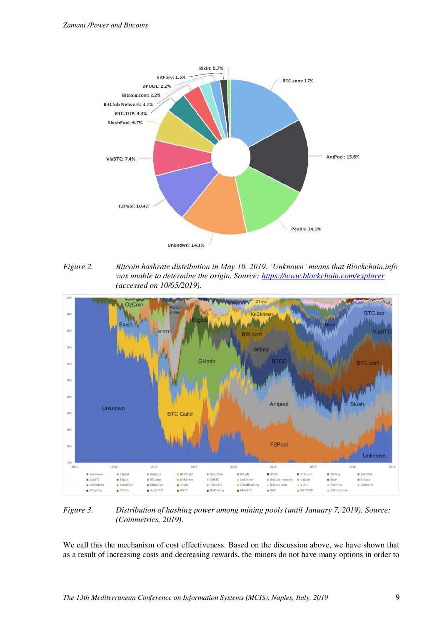

<span id="page-10-0"></span>*Figure 2. Bitcoin hashrate distribution in May 10, 2019. 'Unknown' means that Blockchain.info was unable to determine the origin. Source:<https://www.blockchain.com/explorer> (accessed on 10/05/2019).* 



<span id="page-10-1"></span>*Figure 3. Distribution of hashing power among mining pools (until January 7, 2019). Source: (Coinmetrics, 2019).* 

We call this the mechanism of cost effectiveness. Based on the discussion above, we have shown that as a result of increasing costs and decreasing rewards, the miners do not have many options in order to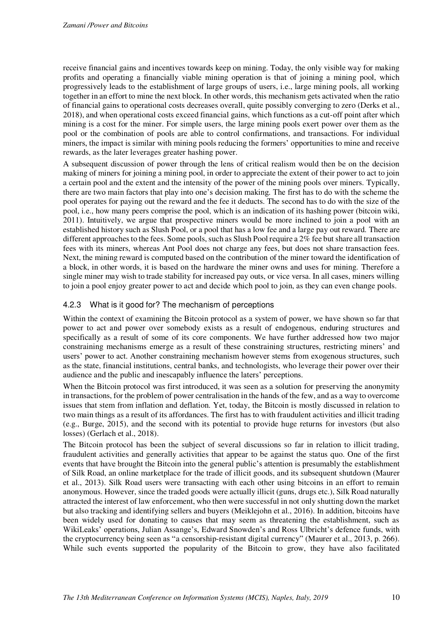receive financial gains and incentives towards keep on mining. Today, the only visible way for making profits and operating a financially viable mining operation is that of joining a mining pool, which progressively leads to the establishment of large groups of users, i.e., large mining pools, all working together in an effort to mine the next block. In other words, this mechanism gets activated when the ratio of financial gains to operational costs decreases overall, quite possibly converging to zero (Derks et al., 2018), and when operational costs exceed financial gains, which functions as a cut-off point after which mining is a cost for the miner. For simple users, the large mining pools exert power over them as the pool or the combination of pools are able to control confirmations, and transactions. For individual miners, the impact is similar with mining pools reducing the formers' opportunities to mine and receive rewards, as the later leverages greater hashing power.

A subsequent discussion of power through the lens of critical realism would then be on the decision making of miners for joining a mining pool, in order to appreciate the extent of their power to act to join a certain pool and the extent and the intensity of the power of the mining pools over miners. Typically, there are two main factors that play into one's decision making. The first has to do with the scheme the pool operates for paying out the reward and the fee it deducts. The second has to do with the size of the pool, i.e., how many peers comprise the pool, which is an indication of its hashing power (bitcoin wiki, 2011). Intuitively, we argue that prospective miners would be more inclined to join a pool with an established history such as Slush Pool, or a pool that has a low fee and a large pay out reward. There are different approaches to the fees. Some pools, such as Slush Pool require a 2% fee but share all transaction fees with its miners, whereas Ant Pool does not charge any fees, but does not share transaction fees. Next, the mining reward is computed based on the contribution of the miner toward the identification of a block, in other words, it is based on the hardware the miner owns and uses for mining. Therefore a single miner may wish to trade stability for increased pay outs, or vice versa. In all cases, miners willing to join a pool enjoy greater power to act and decide which pool to join, as they can even change pools.

### 4.2.3 What is it good for? The mechanism of perceptions

Within the context of examining the Bitcoin protocol as a system of power, we have shown so far that power to act and power over somebody exists as a result of endogenous, enduring structures and specifically as a result of some of its core components. We have further addressed how two major constraining mechanisms emerge as a result of these constraining structures, restricting miners' and users' power to act. Another constraining mechanism however stems from exogenous structures, such as the state, financial institutions, central banks, and technologists, who leverage their power over their audience and the public and inescapably influence the laters' perceptions.

When the Bitcoin protocol was first introduced, it was seen as a solution for preserving the anonymity in transactions, for the problem of power centralisation in the hands of the few, and as a way to overcome issues that stem from inflation and deflation. Yet, today, the Bitcoin is mostly discussed in relation to two main things as a result of its affordances. The first has to with fraudulent activities and illicit trading (e.g., Burge, 2015), and the second with its potential to provide huge returns for investors (but also losses) (Gerlach et al., 2018).

The Bitcoin protocol has been the subject of several discussions so far in relation to illicit trading, fraudulent activities and generally activities that appear to be against the status quo. One of the first events that have brought the Bitcoin into the general public's attention is presumably the establishment of Silk Road, an online marketplace for the trade of illicit goods, and its subsequent shutdown (Maurer et al., 2013). Silk Road users were transacting with each other using bitcoins in an effort to remain anonymous. However, since the traded goods were actually illicit (guns, drugs etc.), Silk Road naturally attracted the interest of law enforcement, who then were successful in not only shutting down the market but also tracking and identifying sellers and buyers (Meiklejohn et al., 2016). In addition, bitcoins have been widely used for donating to causes that may seem as threatening the establishment, such as WikiLeaks' operations, Julian Assange's, Edward Snowden's and Ross Ulbricht's defence funds, with the cryptocurrency being seen as "a censorship-resistant digital currency" (Maurer et al., 2013, p. 266). While such events supported the popularity of the Bitcoin to grow, they have also facilitated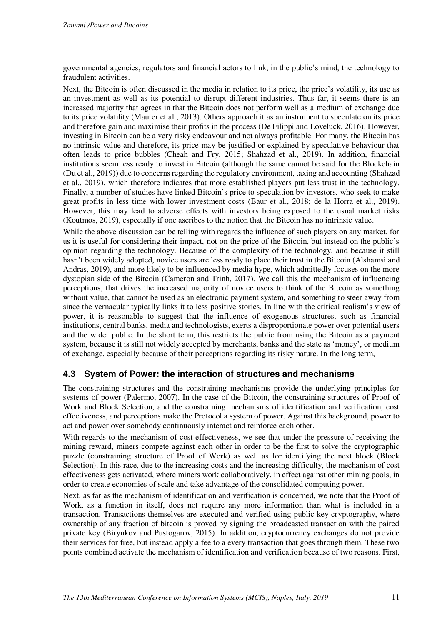governmental agencies, regulators and financial actors to link, in the public's mind, the technology to fraudulent activities.

Next, the Bitcoin is often discussed in the media in relation to its price, the price's volatility, its use as an investment as well as its potential to disrupt different industries. Thus far, it seems there is an increased majority that agrees in that the Bitcoin does not perform well as a medium of exchange due to its price volatility (Maurer et al., 2013). Others approach it as an instrument to speculate on its price and therefore gain and maximise their profits in the process (De Filippi and Loveluck, 2016). However, investing in Bitcoin can be a very risky endeavour and not always profitable. For many, the Bitcoin has no intrinsic value and therefore, its price may be justified or explained by speculative behaviour that often leads to price bubbles (Cheah and Fry, 2015; Shahzad et al., 2019). In addition, financial institutions seem less ready to invest in Bitcoin (although the same cannot be said for the Blockchain (Du et al., 2019)) due to concerns regarding the regulatory environment, taxing and accounting (Shahzad et al., 2019), which therefore indicates that more established players put less trust in the technology. Finally, a number of studies have linked Bitcoin's price to speculation by investors, who seek to make great profits in less time with lower investment costs (Baur et al., 2018; de la Horra et al., 2019). However, this may lead to adverse effects with investors being exposed to the usual market risks (Koutmos, 2019), especially if one ascribes to the notion that the Bitcoin has no intrinsic value.

While the above discussion can be telling with regards the influence of such players on any market, for us it is useful for considering their impact, not on the price of the Bitcoin, but instead on the public's opinion regarding the technology. Because of the complexity of the technology, and because it still hasn't been widely adopted, novice users are less ready to place their trust in the Bitcoin (Alshamsi and Andras, 2019), and more likely to be influenced by media hype, which admittedly focuses on the more dystopian side of the Bitcoin (Cameron and Trinh, 2017). We call this the mechanism of influencing perceptions, that drives the increased majority of novice users to think of the Bitcoin as something without value, that cannot be used as an electronic payment system, and something to steer away from since the vernacular typically links it to less positive stories. In line with the critical realism's view of power, it is reasonable to suggest that the influence of exogenous structures, such as financial institutions, central banks, media and technologists, exerts a disproportionate power over potential users and the wider public. In the short term, this restricts the public from using the Bitcoin as a payment system, because it is still not widely accepted by merchants, banks and the state as 'money', or medium of exchange, especially because of their perceptions regarding its risky nature. In the long term,

### **4.3 System of Power: the interaction of structures and mechanisms**

The constraining structures and the constraining mechanisms provide the underlying principles for systems of power (Palermo, 2007). In the case of the Bitcoin, the constraining structures of Proof of Work and Block Selection, and the constraining mechanisms of identification and verification, cost effectiveness, and perceptions make the Protocol a system of power. Against this background, power to act and power over somebody continuously interact and reinforce each other.

With regards to the mechanism of cost effectiveness, we see that under the pressure of receiving the mining reward, miners compete against each other in order to be the first to solve the cryptographic puzzle (constraining structure of Proof of Work) as well as for identifying the next block (Block Selection). In this race, due to the increasing costs and the increasing difficulty, the mechanism of cost effectiveness gets activated, where miners work collaboratively, in effect against other mining pools, in order to create economies of scale and take advantage of the consolidated computing power.

Next, as far as the mechanism of identification and verification is concerned, we note that the Proof of Work, as a function in itself, does not require any more information than what is included in a transaction. Transactions themselves are executed and verified using public key cryptography, where ownership of any fraction of bitcoin is proved by signing the broadcasted transaction with the paired private key (Biryukov and Pustogarov, 2015). In addition, cryptocurrency exchanges do not provide their services for free, but instead apply a fee to a every transaction that goes through them. These two points combined activate the mechanism of identification and verification because of two reasons. First,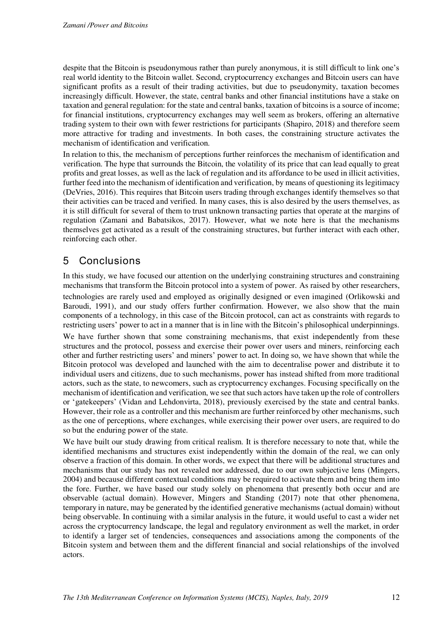despite that the Bitcoin is pseudonymous rather than purely anonymous, it is still difficult to link one's real world identity to the Bitcoin wallet. Second, cryptocurrency exchanges and Bitcoin users can have significant profits as a result of their trading activities, but due to pseudonymity, taxation becomes increasingly difficult. However, the state, central banks and other financial institutions have a stake on taxation and general regulation: for the state and central banks, taxation of bitcoins is a source of income; for financial institutions, cryptocurrency exchanges may well seem as brokers, offering an alternative trading system to their own with fewer restrictions for participants (Shapiro, 2018) and therefore seem more attractive for trading and investments. In both cases, the constraining structure activates the mechanism of identification and verification.

In relation to this, the mechanism of perceptions further reinforces the mechanism of identification and verification. The hype that surrounds the Bitcoin, the volatility of its price that can lead equally to great profits and great losses, as well as the lack of regulation and its affordance to be used in illicit activities, further feed into the mechanism of identification and verification, by means of questioning its legitimacy (DeVries, 2016). This requires that Bitcoin users trading through exchanges identify themselves so that their activities can be traced and verified. In many cases, this is also desired by the users themselves, as it is still difficult for several of them to trust unknown transacting parties that operate at the margins of regulation (Zamani and Babatsikos, 2017). However, what we note here is that the mechanisms themselves get activated as a result of the constraining structures, but further interact with each other, reinforcing each other.

# 5 Conclusions

In this study, we have focused our attention on the underlying constraining structures and constraining mechanisms that transform the Bitcoin protocol into a system of power. As raised by other researchers,

technologies are rarely used and employed as originally designed or even imagined (Orlikowski and Baroudi, 1991), and our study offers further confirmation. However, we also show that the main components of a technology, in this case of the Bitcoin protocol, can act as constraints with regards to restricting users' power to act in a manner that is in line with the Bitcoin's philosophical underpinnings. We have further shown that some constraining mechanisms, that exist independently from these structures and the protocol, possess and exercise their power over users and miners, reinforcing each other and further restricting users' and miners' power to act. In doing so, we have shown that while the Bitcoin protocol was developed and launched with the aim to decentralise power and distribute it to individual users and citizens, due to such mechanisms, power has instead shifted from more traditional actors, such as the state, to newcomers, such as cryptocurrency exchanges. Focusing specifically on the mechanism of identification and verification, we see that such actors have taken up the role of controllers or 'gatekeepers' (Vidan and Lehdonvirta, 2018), previously exercised by the state and central banks. However, their role as a controller and this mechanism are further reinforced by other mechanisms, such as the one of perceptions, where exchanges, while exercising their power over users, are required to do so but the enduring power of the state.

We have built our study drawing from critical realism. It is therefore necessary to note that, while the identified mechanisms and structures exist independently within the domain of the real, we can only observe a fraction of this domain. In other words, we expect that there will be additional structures and mechanisms that our study has not revealed nor addressed, due to our own subjective lens (Mingers, 2004) and because different contextual conditions may be required to activate them and bring them into the fore. Further, we have based our study solely on phenomena that presently both occur and are observable (actual domain). However, Mingers and Standing (2017) note that other phenomena, temporary in nature, may be generated by the identified generative mechanisms (actual domain) without being observable. In continuing with a similar analysis in the future, it would useful to cast a wider net across the cryptocurrency landscape, the legal and regulatory environment as well the market, in order to identify a larger set of tendencies, consequences and associations among the components of the Bitcoin system and between them and the different financial and social relationships of the involved actors.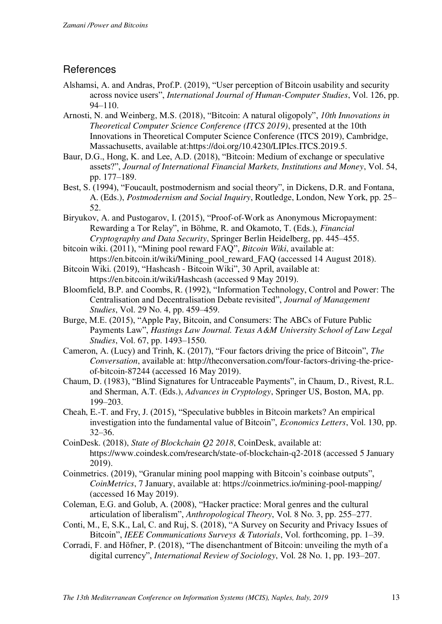## **References**

- Alshamsi, A. and Andras, Prof.P. (2019), "User perception of Bitcoin usability and security across novice users", *International Journal of Human-Computer Studies*, Vol. 126, pp. 94–110.
- Arnosti, N. and Weinberg, M.S. (2018), "Bitcoin: A natural oligopoly", *10th Innovations in Theoretical Computer Science Conference (ITCS 2019)*, presented at the 10th Innovations in Theoretical Computer Science Conference (ITCS 2019), Cambridge, Massachusetts, available at:https://doi.org/10.4230/LIPIcs.ITCS.2019.5.
- Baur, D.G., Hong, K. and Lee, A.D. (2018), "Bitcoin: Medium of exchange or speculative assets?", *Journal of International Financial Markets, Institutions and Money*, Vol. 54, pp. 177–189.
- Best, S. (1994), "Foucault, postmodernism and social theory", in Dickens, D.R. and Fontana, A. (Eds.), *Postmodernism and Social Inquiry*, Routledge, London, New York, pp. 25– 52.
- Biryukov, A. and Pustogarov, I. (2015), "Proof-of-Work as Anonymous Micropayment: Rewarding a Tor Relay", in Böhme, R. and Okamoto, T. (Eds.), *Financial Cryptography and Data Security*, Springer Berlin Heidelberg, pp. 445–455.
- bitcoin wiki. (2011), "Mining pool reward FAQ", *Bitcoin Wiki*, available at: https://en.bitcoin.it/wiki/Mining\_pool\_reward\_FAQ (accessed 14 August 2018).
- Bitcoin Wiki. (2019), "Hashcash Bitcoin Wiki", 30 April, available at: https://en.bitcoin.it/wiki/Hashcash (accessed 9 May 2019).
- Bloomfield, B.P. and Coombs, R. (1992), "Information Technology, Control and Power: The Centralisation and Decentralisation Debate revisited", *Journal of Management Studies*, Vol. 29 No. 4, pp. 459–459.
- Burge, M.E. (2015), "Apple Pay, Bitcoin, and Consumers: The ABCs of Future Public Payments Law", *Hastings Law Journal. Texas A&M University School of Law Legal Studies*, Vol. 67, pp. 1493–1550.
- Cameron, A. (Lucy) and Trinh, K. (2017), "Four factors driving the price of Bitcoin", *The Conversation*, available at: http://theconversation.com/four-factors-driving-the-priceof-bitcoin-87244 (accessed 16 May 2019).
- Chaum, D. (1983), "Blind Signatures for Untraceable Payments", in Chaum, D., Rivest, R.L. and Sherman, A.T. (Eds.), *Advances in Cryptology*, Springer US, Boston, MA, pp. 199–203.
- Cheah, E.-T. and Fry, J. (2015), "Speculative bubbles in Bitcoin markets? An empirical investigation into the fundamental value of Bitcoin", *Economics Letters*, Vol. 130, pp. 32–36.
- CoinDesk. (2018), *State of Blockchain Q2 2018*, CoinDesk, available at: https://www.coindesk.com/research/state-of-blockchain-q2-2018 (accessed 5 January 2019).
- Coinmetrics. (2019), "Granular mining pool mapping with Bitcoin's coinbase outputs", *CoinMetrics*, 7 January, available at: https://coinmetrics.io/mining-pool-mapping/ (accessed 16 May 2019).
- Coleman, E.G. and Golub, A. (2008), "Hacker practice: Moral genres and the cultural articulation of liberalism", *Anthropological Theory*, Vol. 8 No. 3, pp. 255–277.
- Conti, M., E, S.K., Lal, C. and Ruj, S. (2018), "A Survey on Security and Privacy Issues of Bitcoin", *IEEE Communications Surveys & Tutorials*, Vol. forthcoming, pp. 1–39.
- Corradi, F. and Höfner, P. (2018), "The disenchantment of Bitcoin: unveiling the myth of a digital currency", *International Review of Sociology*, Vol. 28 No. 1, pp. 193–207.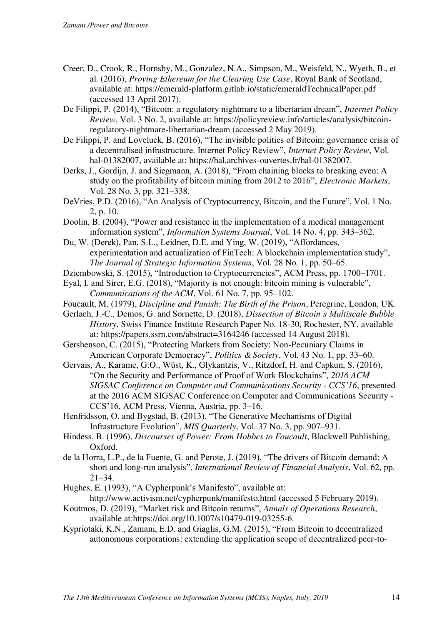- Creer, D., Crook, R., Hornsby, M., Gonzalez, N.A., Simpson, M., Weisfeld, N., Wyeth, B., et al. (2016), *Proving Ethereum for the Clearing Use Case*, Royal Bank of Scotland, available at: https://emerald-platform.gitlab.io/static/emeraldTechnicalPaper.pdf (accessed 13 April 2017).
- De Filippi, P. (2014), "Bitcoin: a regulatory nightmare to a libertarian dream", *Internet Policy Review*, Vol. 3 No. 2, available at: https://policyreview.info/articles/analysis/bitcoinregulatory-nightmare-libertarian-dream (accessed 2 May 2019).
- De Filippi, P. and Loveluck, B. (2016), "The invisible politics of Bitcoin: governance crisis of a decentralised infrastructure. Internet Policy Review", *Internet Policy Review*, Vol. hal-01382007, available at: https://hal.archives-ouvertes.fr/hal-01382007.
- Derks, J., Gordijn, J. and Siegmann, A. (2018), "From chaining blocks to breaking even: A study on the profitability of bitcoin mining from 2012 to 2016", *Electronic Markets*, Vol. 28 No. 3, pp. 321–338.
- DeVries, P.D. (2016), "An Analysis of Cryptocurrency, Bitcoin, and the Future", Vol. 1 No. 2, p. 10.
- Doolin, B. (2004), "Power and resistance in the implementation of a medical management information system", *Information Systems Journal*, Vol. 14 No. 4, pp. 343–362.
- Du, W. (Derek), Pan, S.L., Leidner, D.E. and Ying, W. (2019), "Affordances, experimentation and actualization of FinTech: A blockchain implementation study", *The Journal of Strategic Information Systems*, Vol. 28 No. 1, pp. 50–65.
- Dziembowski, S. (2015), "Introduction to Cryptocurrencies", ACM Press, pp. 1700–1701.
- Eyal, I. and Sirer, E.G. (2018), "Majority is not enough: bitcoin mining is vulnerable", *Communications of the ACM*, Vol. 61 No. 7, pp. 95–102.
- Foucault, M. (1979), *Discipline and Punish: The Birth of the Prison*, Peregrine, London, UK.
- Gerlach, J.-C., Demos, G. and Sornette, D. (2018), *Dissection of Bitcoin's Multiscale Bubble History*, Swiss Finance Institute Research Paper No. 18-30, Rochester, NY, available at: https://papers.ssrn.com/abstract=3164246 (accessed 14 August 2018).
- Gershenson, C. (2015), "Protecting Markets from Society: Non-Pecuniary Claims in American Corporate Democracy", *Politics & Society*, Vol. 43 No. 1, pp. 33–60.
- Gervais, A., Karame, G.O., Wüst, K., Glykantzis, V., Ritzdorf, H. and Capkun, S. (2016), "On the Security and Performance of Proof of Work Blockchains", *2016 ACM SIGSAC Conference on Computer and Communications Security - CCS'16*, presented at the 2016 ACM SIGSAC Conference on Computer and Communications Security - CCS'16, ACM Press, Vienna, Austria, pp. 3–16.
- Henfridsson, O. and Bygstad, B. (2013), "The Generative Mechanisms of Digital Infrastructure Evolution", *MIS Quarterly*, Vol. 37 No. 3, pp. 907–931.
- Hindess, B. (1996), *Discourses of Power: From Hobbes to Foucault*, Blackwell Publishing, Oxford.
- de la Horra, L.P., de la Fuente, G. and Perote, J. (2019), "The drivers of Bitcoin demand: A short and long-run analysis", *International Review of Financial Analysis*, Vol. 62, pp. 21–34.
- Hughes, E. (1993), "A Cypherpunk's Manifesto", available at: http://www.activism.net/cypherpunk/manifesto.html (accessed 5 February 2019).
- Koutmos, D. (2019), "Market risk and Bitcoin returns", *Annals of Operations Research*, available at:https://doi.org/10.1007/s10479-019-03255-6.
- Kypriotaki, K.N., Zamani, E.D. and Giaglis, G.M. (2015), "From Bitcoin to decentralized autonomous corporations: extending the application scope of decentralized peer-to-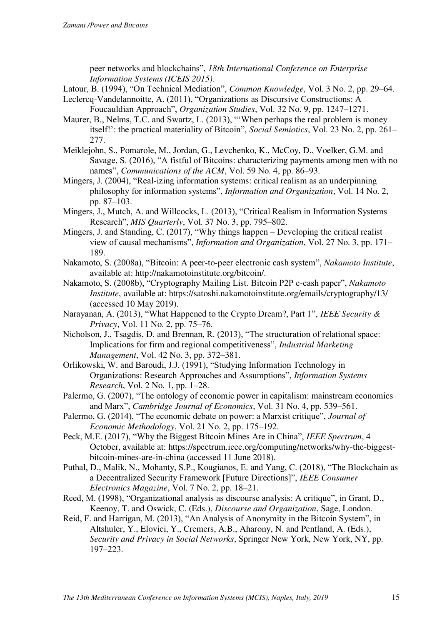peer networks and blockchains", *18th International Conference on Enterprise Information Systems (ICEIS 2015)*.

Latour, B. (1994), "On Technical Mediation", *Common Knowledge*, Vol. 3 No. 2, pp. 29–64. Leclercq-Vandelannoitte, A. (2011), "Organizations as Discursive Constructions: A

Foucauldian Approach", *Organization Studies*, Vol. 32 No. 9, pp. 1247–1271.

- Maurer, B., Nelms, T.C. and Swartz, L. (2013), "'When perhaps the real problem is money itself!': the practical materiality of Bitcoin", *Social Semiotics*, Vol. 23 No. 2, pp. 261– 277.
- Meiklejohn, S., Pomarole, M., Jordan, G., Levchenko, K., McCoy, D., Voelker, G.M. and Savage, S. (2016), "A fistful of Bitcoins: characterizing payments among men with no names", *Communications of the ACM*, Vol. 59 No. 4, pp. 86–93.
- Mingers, J. (2004), "Real-izing information systems: critical realism as an underpinning philosophy for information systems", *Information and Organization*, Vol. 14 No. 2, pp. 87–103.
- Mingers, J., Mutch, A. and Willcocks, L. (2013), "Critical Realism in Information Systems Research", *MIS Quarterly*, Vol. 37 No. 3, pp. 795–802.
- Mingers, J. and Standing, C. (2017), "Why things happen Developing the critical realist view of causal mechanisms", *Information and Organization*, Vol. 27 No. 3, pp. 171– 189.
- Nakamoto, S. (2008a), "Bitcoin: A peer-to-peer electronic cash system", *Nakamoto Institute*, available at: http://nakamotoinstitute.org/bitcoin/.
- Nakamoto, S. (2008b), "Cryptography Mailing List. Bitcoin P2P e-cash paper", *Nakamoto Institute*, available at: https://satoshi.nakamotoinstitute.org/emails/cryptography/13/ (accessed 10 May 2019).
- Narayanan, A. (2013), "What Happened to the Crypto Dream?, Part 1", *IEEE Security & Privacy*, Vol. 11 No. 2, pp. 75–76.

Nicholson, J., Tsagdis, D. and Brennan, R. (2013), "The structuration of relational space: Implications for firm and regional competitiveness", *Industrial Marketing Management*, Vol. 42 No. 3, pp. 372–381.

- Orlikowski, W. and Baroudi, J.J. (1991), "Studying Information Technology in Organizations: Research Approaches and Assumptions", *Information Systems Research*, Vol. 2 No. 1, pp. 1–28.
- Palermo, G. (2007), "The ontology of economic power in capitalism: mainstream economics and Marx", *Cambridge Journal of Economics*, Vol. 31 No. 4, pp. 539–561.
- Palermo, G. (2014), "The economic debate on power: a Marxist critique", *Journal of Economic Methodology*, Vol. 21 No. 2, pp. 175–192.

Peck, M.E. (2017), "Why the Biggest Bitcoin Mines Are in China", *IEEE Spectrum*, 4 October, available at: https://spectrum.ieee.org/computing/networks/why-the-biggestbitcoin-mines-are-in-china (accessed 11 June 2018).

Puthal, D., Malik, N., Mohanty, S.P., Kougianos, E. and Yang, C. (2018), "The Blockchain as a Decentralized Security Framework [Future Directions]", *IEEE Consumer Electronics Magazine*, Vol. 7 No. 2, pp. 18–21.

- Reed, M. (1998), "Organizational analysis as discourse analysis: A critique", in Grant, D., Keenoy, T. and Oswick, C. (Eds.), *Discourse and Organization*, Sage, London.
- Reid, F. and Harrigan, M. (2013), "An Analysis of Anonymity in the Bitcoin System", in Altshuler, Y., Elovici, Y., Cremers, A.B., Aharony, N. and Pentland, A. (Eds.), *Security and Privacy in Social Networks*, Springer New York, New York, NY, pp. 197–223.